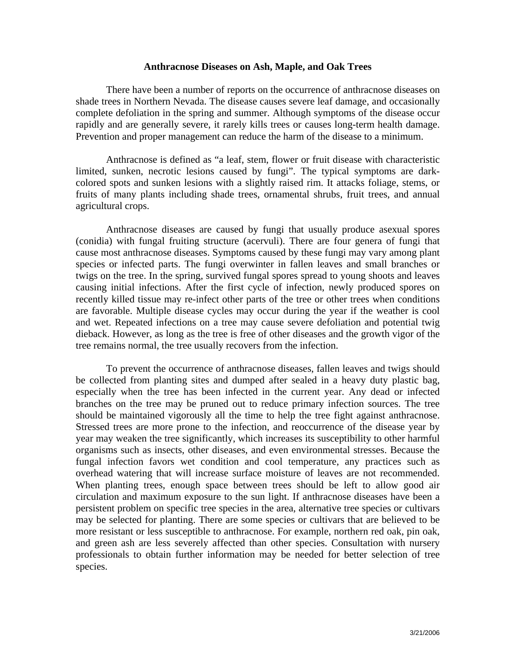## **Anthracnose Diseases on Ash, Maple, and Oak Trees**

There have been a number of reports on the occurrence of anthracnose diseases on shade trees in Northern Nevada. The disease causes severe leaf damage, and occasionally complete defoliation in the spring and summer. Although symptoms of the disease occur rapidly and are generally severe, it rarely kills trees or causes long-term health damage. Prevention and proper management can reduce the harm of the disease to a minimum.

Anthracnose is defined as "a leaf, stem, flower or fruit disease with characteristic limited, sunken, necrotic lesions caused by fungi". The typical symptoms are darkcolored spots and sunken lesions with a slightly raised rim. It attacks foliage, stems, or fruits of many plants including shade trees, ornamental shrubs, fruit trees, and annual agricultural crops.

Anthracnose diseases are caused by fungi that usually produce asexual spores (conidia) with fungal fruiting structure (acervuli). There are four genera of fungi that cause most anthracnose diseases. Symptoms caused by these fungi may vary among plant species or infected parts. The fungi overwinter in fallen leaves and small branches or twigs on the tree. In the spring, survived fungal spores spread to young shoots and leaves causing initial infections. After the first cycle of infection, newly produced spores on recently killed tissue may re-infect other parts of the tree or other trees when conditions are favorable. Multiple disease cycles may occur during the year if the weather is cool and wet. Repeated infections on a tree may cause severe defoliation and potential twig dieback. However, as long as the tree is free of other diseases and the growth vigor of the tree remains normal, the tree usually recovers from the infection.

To prevent the occurrence of anthracnose diseases, fallen leaves and twigs should be collected from planting sites and dumped after sealed in a heavy duty plastic bag, especially when the tree has been infected in the current year. Any dead or infected branches on the tree may be pruned out to reduce primary infection sources. The tree should be maintained vigorously all the time to help the tree fight against anthracnose. Stressed trees are more prone to the infection, and reoccurrence of the disease year by year may weaken the tree significantly, which increases its susceptibility to other harmful organisms such as insects, other diseases, and even environmental stresses. Because the fungal infection favors wet condition and cool temperature, any practices such as overhead watering that will increase surface moisture of leaves are not recommended. When planting trees, enough space between trees should be left to allow good air circulation and maximum exposure to the sun light. If anthracnose diseases have been a persistent problem on specific tree species in the area, alternative tree species or cultivars may be selected for planting. There are some species or cultivars that are believed to be more resistant or less susceptible to anthracnose. For example, northern red oak, pin oak, and green ash are less severely affected than other species. Consultation with nursery professionals to obtain further information may be needed for better selection of tree species.